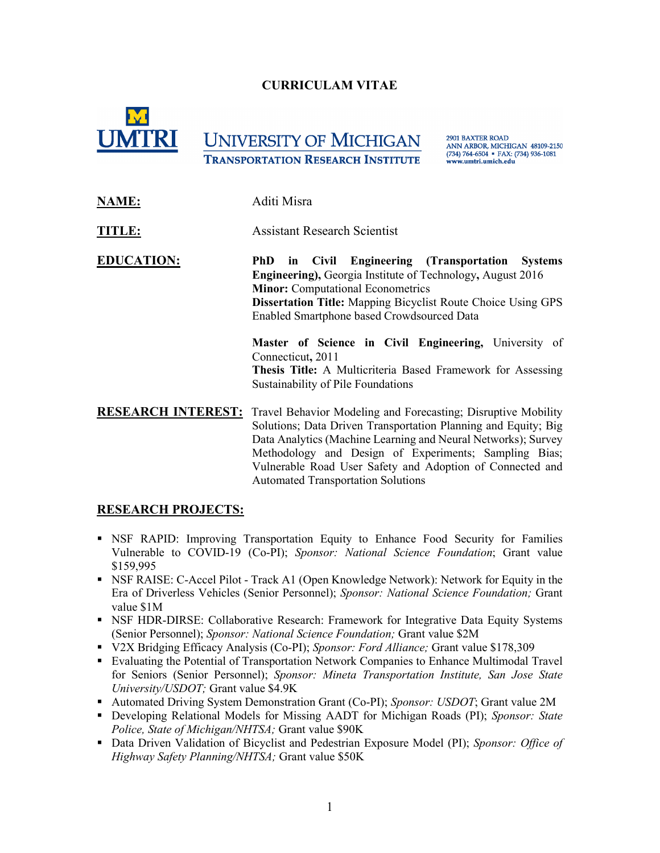## **CURRICULAM VITAE**



# **UNIVERSITY OF MICHIGAN TRANSPORTATION RESEARCH INSTITUTE**

**2901 BAXTER ROAD** ANN ARBOR, MICHIGAN 48109-2150 (734) 764-6504 · FAX: (734) 936-1081 www.umtri.umich.edu

**NAME:** Aditi Misra

**TITLE:** Assistant Research Scientist

**EDUCATION: PhD in Civil Engineering (Transportation Systems Engineering),** Georgia Institute of Technology**,** August 2016  **Minor:** Computational Econometrics **Dissertation Title:** Mapping Bicyclist Route Choice Using GPS Enabled Smartphone based Crowdsourced Data

> **Master of Science in Civil Engineering,** University of Connecticut**,** 2011 **Thesis Title:** A Multicriteria Based Framework for Assessing Sustainability of Pile Foundations

**RESEARCH INTEREST:** Travel Behavior Modeling and Forecasting; Disruptive Mobility Solutions; Data Driven Transportation Planning and Equity; Big Data Analytics (Machine Learning and Neural Networks); Survey Methodology and Design of Experiments; Sampling Bias; Vulnerable Road User Safety and Adoption of Connected and Automated Transportation Solutions

#### **RESEARCH PROJECTS:**

- NSF RAPID: Improving Transportation Equity to Enhance Food Security for Families Vulnerable to COVID-19 (Co-PI); *Sponsor: National Science Foundation*; Grant value \$159,995
- NSF RAISE: C-Accel Pilot Track A1 (Open Knowledge Network): Network for Equity in the Era of Driverless Vehicles (Senior Personnel); *Sponsor: National Science Foundation;* Grant value \$1M
- **NICF HDR-DIRSE: Collaborative Research: Framework for Integrative Data Equity Systems** (Senior Personnel); *Sponsor: National Science Foundation;* Grant value \$2M
- V2X Bridging Efficacy Analysis (Co-PI); *Sponsor: Ford Alliance;* Grant value \$178,309
- Evaluating the Potential of Transportation Network Companies to Enhance Multimodal Travel for Seniors (Senior Personnel); *Sponsor: Mineta Transportation Institute, San Jose State University/USDOT;* Grant value \$4.9K
- **Automated Driving System Demonstration Grant (Co-PI);** *Sponsor: USDOT***; Grant value 2M**
- Developing Relational Models for Missing AADT for Michigan Roads (PI); *Sponsor: State Police, State of Michigan/NHTSA;* Grant value \$90K
- Data Driven Validation of Bicyclist and Pedestrian Exposure Model (PI); *Sponsor: Office of Highway Safety Planning/NHTSA;* Grant value \$50K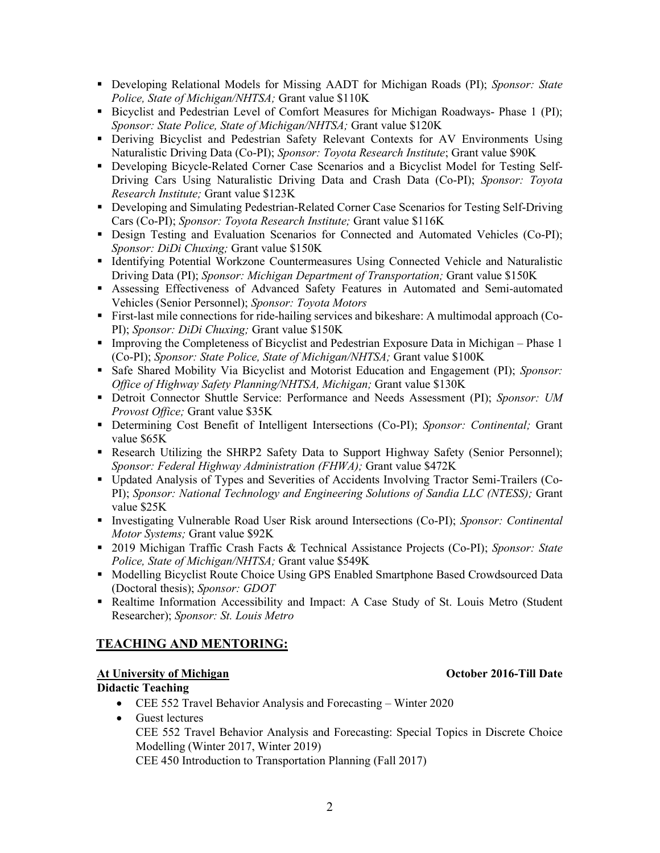- Developing Relational Models for Missing AADT for Michigan Roads (PI); *Sponsor: State Police, State of Michigan/NHTSA;* Grant value \$110K
- Bicyclist and Pedestrian Level of Comfort Measures for Michigan Roadways- Phase 1 (PI); *Sponsor: State Police, State of Michigan/NHTSA;* Grant value \$120K
- Deriving Bicyclist and Pedestrian Safety Relevant Contexts for AV Environments Using Naturalistic Driving Data (Co-PI); *Sponsor: Toyota Research Institute*; Grant value \$90K
- Developing Bicycle-Related Corner Case Scenarios and a Bicyclist Model for Testing Self-Driving Cars Using Naturalistic Driving Data and Crash Data (Co-PI); *Sponsor: Toyota Research Institute;* Grant value \$123K
- Developing and Simulating Pedestrian-Related Corner Case Scenarios for Testing Self-Driving Cars (Co-PI); *Sponsor: Toyota Research Institute;* Grant value \$116K
- Design Testing and Evaluation Scenarios for Connected and Automated Vehicles (Co-PI); *Sponsor: DiDi Chuxing;* Grant value \$150K
- Identifying Potential Workzone Countermeasures Using Connected Vehicle and Naturalistic Driving Data (PI); *Sponsor: Michigan Department of Transportation;* Grant value \$150K
- Assessing Effectiveness of Advanced Safety Features in Automated and Semi-automated Vehicles (Senior Personnel); *Sponsor: Toyota Motors*
- First-last mile connections for ride-hailing services and bikeshare: A multimodal approach (Co-PI); *Sponsor: DiDi Chuxing;* Grant value \$150K
- Improving the Completeness of Bicyclist and Pedestrian Exposure Data in Michigan Phase 1 (Co-PI); *Sponsor: State Police, State of Michigan/NHTSA;* Grant value \$100K
- Safe Shared Mobility Via Bicyclist and Motorist Education and Engagement (PI); *Sponsor: Office of Highway Safety Planning/NHTSA, Michigan;* Grant value \$130K
- Detroit Connector Shuttle Service: Performance and Needs Assessment (PI); *Sponsor: UM Provost Office;* Grant value \$35K
- Determining Cost Benefit of Intelligent Intersections (Co-PI); *Sponsor: Continental;* Grant value \$65K
- Research Utilizing the SHRP2 Safety Data to Support Highway Safety (Senior Personnel); *Sponsor: Federal Highway Administration (FHWA);* Grant value \$472K
- Updated Analysis of Types and Severities of Accidents Involving Tractor Semi-Trailers (Co-PI); *Sponsor: National Technology and Engineering Solutions of Sandia LLC (NTESS);* Grant value \$25K
- Investigating Vulnerable Road User Risk around Intersections (Co-PI); *Sponsor: Continental Motor Systems;* Grant value \$92K
- 2019 Michigan Traffic Crash Facts & Technical Assistance Projects (Co-PI); *Sponsor: State Police, State of Michigan/NHTSA;* Grant value \$549K
- **Modelling Bicyclist Route Choice Using GPS Enabled Smartphone Based Crowdsourced Data** (Doctoral thesis); *Sponsor: GDOT*
- Realtime Information Accessibility and Impact: A Case Study of St. Louis Metro (Student Researcher); *Sponsor: St. Louis Metro*

# **TEACHING AND MENTORING:**

#### **At University of Michigan October 2016-Till Date**

#### **Didactic Teaching**

- CEE 552 Travel Behavior Analysis and Forecasting Winter 2020
- Guest lectures CEE 552 Travel Behavior Analysis and Forecasting: Special Topics in Discrete Choice Modelling (Winter 2017, Winter 2019) CEE 450 Introduction to Transportation Planning (Fall 2017)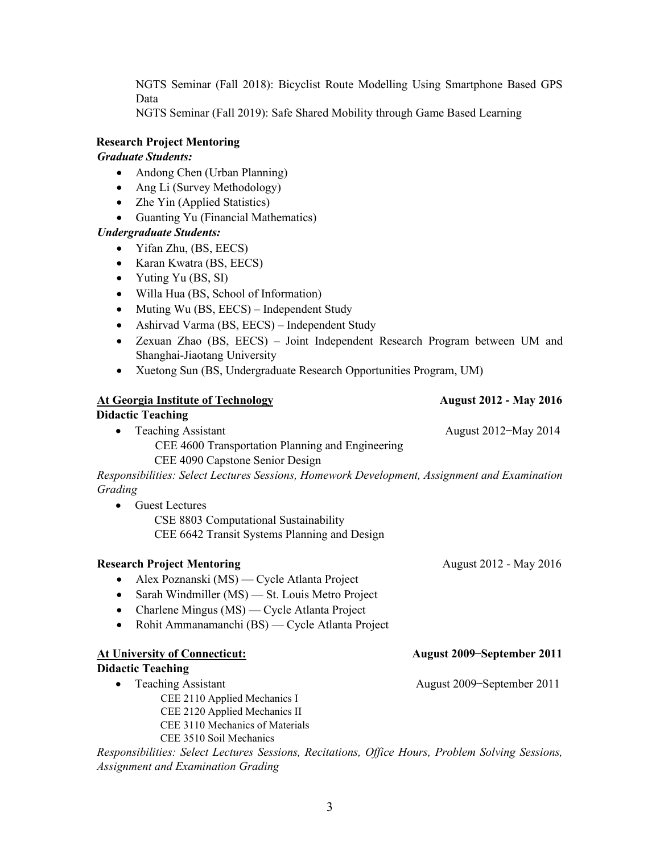NGTS Seminar (Fall 2018): Bicyclist Route Modelling Using Smartphone Based GPS Data

NGTS Seminar (Fall 2019): Safe Shared Mobility through Game Based Learning

#### **Research Project Mentoring**

#### *Graduate Students:*

- Andong Chen (Urban Planning)
- Ang Li (Survey Methodology)
- Zhe Yin (Applied Statistics)
- Guanting Yu (Financial Mathematics)

#### *Undergraduate Students:*

- Yifan Zhu, (BS, EECS)
- Karan Kwatra (BS, EECS)
- Yuting Yu (BS, SI)
- Willa Hua (BS, School of Information)
- Muting Wu (BS, EECS) Independent Study
- Ashirvad Varma (BS, EECS) Independent Study
- Zexuan Zhao (BS, EECS) Joint Independent Research Program between UM and Shanghai-Jiaotang University
- Xuetong Sun (BS, Undergraduate Research Opportunities Program, UM)

| <b>At Georgia Institute of Technology</b>                                                        | <b>August 2012 - May 2016</b> |
|--------------------------------------------------------------------------------------------------|-------------------------------|
| <b>Didactic Teaching</b>                                                                         |                               |
| <b>Teaching Assistant</b><br>$\bullet$                                                           | August 2012–May 2014          |
| CEE 4600 Transportation Planning and Engineering                                                 |                               |
| CEE 4090 Capstone Senior Design                                                                  |                               |
| Responsibilities: Select Lectures Sessions, Homework Development, Assignment and Examination     |                               |
| Grading                                                                                          |                               |
| <b>Guest Lectures</b>                                                                            |                               |
| CSE 8803 Computational Sustainability                                                            |                               |
| CEE 6642 Transit Systems Planning and Design                                                     |                               |
|                                                                                                  |                               |
| <b>Research Project Mentoring</b>                                                                | August 2012 - May 2016        |
| Alex Poznanski (MS) — Cycle Atlanta Project<br>٠                                                 |                               |
| Sarah Windmiller (MS) — St. Louis Metro Project<br>$\bullet$                                     |                               |
| Charlene Mingus (MS) — Cycle Atlanta Project<br>$\bullet$                                        |                               |
| Rohit Ammanamanchi (BS) — Cycle Atlanta Project<br>$\bullet$                                     |                               |
|                                                                                                  |                               |
| <b>At University of Connecticut:</b>                                                             | August 2009–September 2011    |
| <b>Didactic Teaching</b>                                                                         |                               |
| <b>Teaching Assistant</b><br>$\bullet$                                                           | August 2009–September 2011    |
| CEE 2110 Applied Mechanics I                                                                     |                               |
| CEE 2120 Applied Mechanics II                                                                    |                               |
| CEE 3110 Mechanics of Materials                                                                  |                               |
| CEE 3510 Soil Mechanics                                                                          |                               |
| Responsibilities: Select Lectures Sessions, Recitations, Office Hours, Problem Solving Sessions, |                               |
| <b>Assignment and Examination Grading</b>                                                        |                               |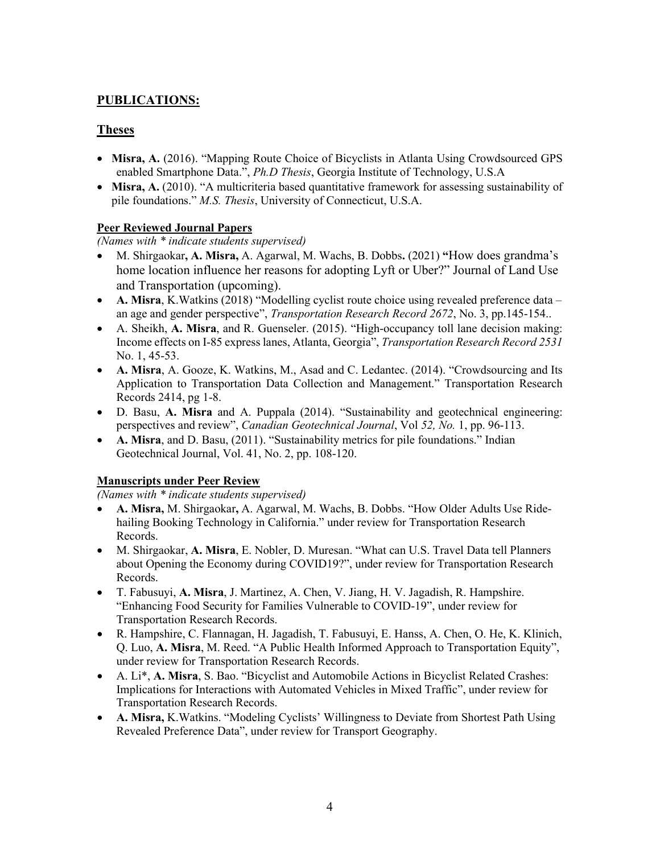# **PUBLICATIONS:**

### **Theses**

- **Misra, A.** (2016). "Mapping Route Choice of Bicyclists in Atlanta Using Crowdsourced GPS enabled Smartphone Data.", *Ph.D Thesis*, Georgia Institute of Technology, U.S.A
- **Misra, A.** (2010). "A multicriteria based quantitative framework for assessing sustainability of pile foundations." *M.S. Thesis*, University of Connecticut, U.S.A.

#### **Peer Reviewed Journal Papers**

*(Names with \* indicate students supervised)*

- M. Shirgaokar**, A. Misra,** A. Agarwal, M. Wachs, B. Dobbs**.** (2021) **"**How does grandma's home location influence her reasons for adopting Lyft or Uber?" Journal of Land Use and Transportation (upcoming).
- **A. Misra**, K. Watkins (2018) "Modelling cyclist route choice using revealed preference data an age and gender perspective", *Transportation Research Record 2672*, No. 3, pp.145-154..
- A. Sheikh, **A. Misra**, and R. Guenseler. (2015). "High-occupancy toll lane decision making: Income effects on I-85 express lanes, Atlanta, Georgia", *Transportation Research Record 2531* No. 1, 45-53.
- **A. Misra**, A. Gooze, K. Watkins, M., Asad and C. Ledantec. (2014). "Crowdsourcing and Its Application to Transportation Data Collection and Management." Transportation Research Records 2414, pg 1-8.
- D. Basu, **A. Misra** and A. Puppala (2014). "Sustainability and geotechnical engineering: perspectives and review", *Canadian Geotechnical Journal*, Vol *52, No.* 1, pp. 96-113.
- **A. Misra**, and D. Basu, (2011). "Sustainability metrics for pile foundations." Indian Geotechnical Journal, Vol. 41, No. 2, pp. 108-120.

#### **Manuscripts under Peer Review**

*(Names with \* indicate students supervised)*

- **A. Misra,** M. Shirgaokar**,** A. Agarwal, M. Wachs, B. Dobbs. "How Older Adults Use Ridehailing Booking Technology in California." under review for Transportation Research Records.
- M. Shirgaokar, **A. Misra**, E. Nobler, D. Muresan. "What can U.S. Travel Data tell Planners about Opening the Economy during COVID19?", under review for Transportation Research Records.
- T. Fabusuyi, **A. Misra**, J. Martinez, A. Chen, V. Jiang, H. V. Jagadish, R. Hampshire. "Enhancing Food Security for Families Vulnerable to COVID-19", under review for Transportation Research Records.
- R. Hampshire, C. Flannagan, H. Jagadish, T. Fabusuyi, E. Hanss, A. Chen, O. He, K. Klinich, Q. Luo, **A. Misra**, M. Reed. "A Public Health Informed Approach to Transportation Equity", under review for Transportation Research Records.
- A. Li\*, **A. Misra**, S. Bao. "Bicyclist and Automobile Actions in Bicyclist Related Crashes: Implications for Interactions with Automated Vehicles in Mixed Traffic", under review for Transportation Research Records.
- **A. Misra,** K.Watkins. "Modeling Cyclists' Willingness to Deviate from Shortest Path Using Revealed Preference Data", under review for Transport Geography.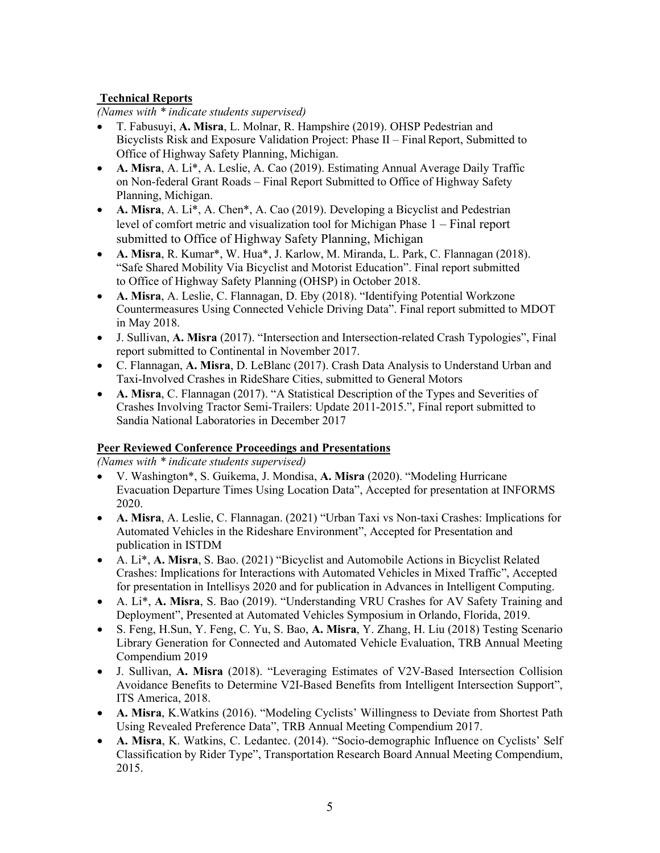### **Technical Reports**

*(Names with \* indicate students supervised)*

- T. Fabusuyi, **A. Misra**, L. Molnar, R. Hampshire (2019). OHSP Pedestrian and Bicyclists Risk and Exposure Validation Project: Phase II – Final Report, Submitted to Office of Highway Safety Planning, Michigan.
- **A. Misra**, A. Li\*, A. Leslie, A. Cao (2019). Estimating Annual Average Daily Traffic on Non-federal Grant Roads – Final Report Submitted to Office of Highway Safety Planning, Michigan.
- **A. Misra**, A. Li\*, A. Chen\*, A. Cao (2019). Developing a Bicyclist and Pedestrian level of comfort metric and visualization tool for Michigan Phase 1 – Final report submitted to Office of Highway Safety Planning, Michigan
- **A. Misra**, R. Kumar\*, W. Hua\*, J. Karlow, M. Miranda, L. Park, C. Flannagan (2018). "Safe Shared Mobility Via Bicyclist and Motorist Education". Final report submitted to Office of Highway Safety Planning (OHSP) in October 2018.
- **A. Misra**, A. Leslie, C. Flannagan, D. Eby (2018). "Identifying Potential Workzone Countermeasures Using Connected Vehicle Driving Data". Final report submitted to MDOT in May 2018.
- J. Sullivan, **A. Misra** (2017). "Intersection and Intersection-related Crash Typologies", Final report submitted to Continental in November 2017.
- C. Flannagan, **A. Misra**, D. LeBlanc (2017). Crash Data Analysis to Understand Urban and Taxi-Involved Crashes in RideShare Cities, submitted to General Motors
- **A. Misra**, C. Flannagan (2017). "A Statistical Description of the Types and Severities of Crashes Involving Tractor Semi-Trailers: Update 2011-2015.", Final report submitted to Sandia National Laboratories in December 2017

#### **Peer Reviewed Conference Proceedings and Presentations**

*(Names with \* indicate students supervised)*

- V. Washington\*, S. Guikema, J. Mondisa, **A. Misra** (2020). "Modeling Hurricane Evacuation Departure Times Using Location Data", Accepted for presentation at INFORMS 2020.
- **A. Misra**, A. Leslie, C. Flannagan. (2021) "Urban Taxi vs Non-taxi Crashes: Implications for Automated Vehicles in the Rideshare Environment", Accepted for Presentation and publication in ISTDM
- A. Li\*, **A. Misra**, S. Bao. (2021) "Bicyclist and Automobile Actions in Bicyclist Related Crashes: Implications for Interactions with Automated Vehicles in Mixed Traffic", Accepted for presentation in Intellisys 2020 and for publication in Advances in Intelligent Computing.
- A. Li\*, **A. Misra**, S. Bao (2019). "Understanding VRU Crashes for AV Safety Training and Deployment", Presented at Automated Vehicles Symposium in Orlando, Florida, 2019.
- S. Feng, H.Sun, Y. Feng, C. Yu, S. Bao, **A. Misra**, Y. Zhang, H. Liu (2018) Testing Scenario Library Generation for Connected and Automated Vehicle Evaluation, TRB Annual Meeting Compendium 2019
- J. Sullivan, **A. Misra** (2018). "Leveraging Estimates of V2V-Based Intersection Collision Avoidance Benefits to Determine V2I-Based Benefits from Intelligent Intersection Support", ITS America, 2018.
- **A. Misra**, K.Watkins (2016). "Modeling Cyclists' Willingness to Deviate from Shortest Path Using Revealed Preference Data", TRB Annual Meeting Compendium 2017.
- **A. Misra**, K. Watkins, C. Ledantec. (2014). "Socio-demographic Influence on Cyclists' Self Classification by Rider Type", Transportation Research Board Annual Meeting Compendium, 2015.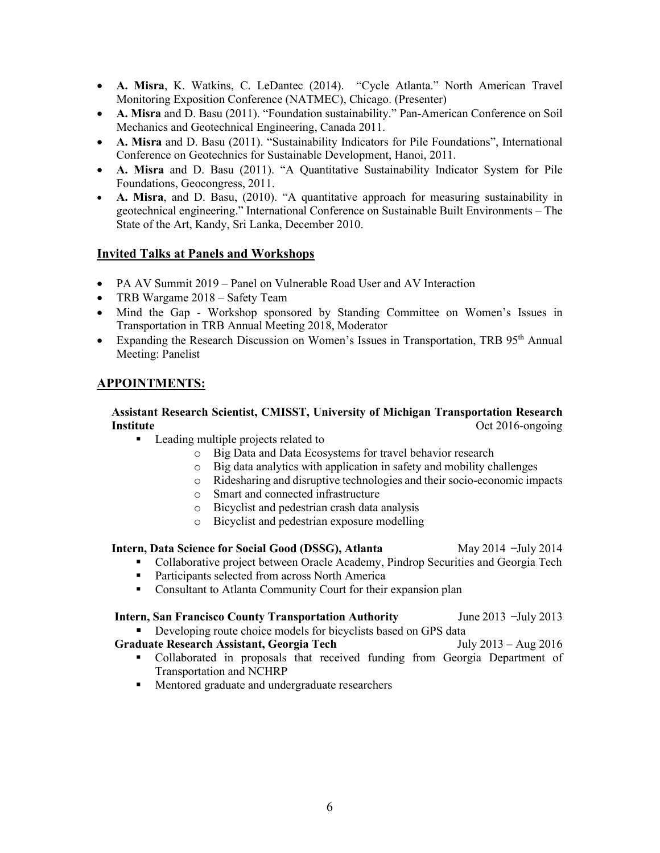- **A. Misra**, K. Watkins, C. LeDantec (2014). "Cycle Atlanta." North American Travel Monitoring Exposition Conference (NATMEC), Chicago. (Presenter)
- **A. Misra** and D. Basu (2011). "Foundation sustainability." Pan-American Conference on Soil Mechanics and Geotechnical Engineering, Canada 2011.
- **A. Misra** and D. Basu (2011). "Sustainability Indicators for Pile Foundations", International Conference on Geotechnics for Sustainable Development, Hanoi, 2011.
- **A. Misra** and D. Basu (2011). "A Quantitative Sustainability Indicator System for Pile Foundations, Geocongress, 2011.
- **A. Misra**, and D. Basu, (2010). "A quantitative approach for measuring sustainability in geotechnical engineering." International Conference on Sustainable Built Environments – The State of the Art, Kandy, Sri Lanka, December 2010.

#### **Invited Talks at Panels and Workshops**

- PA AV Summit 2019 Panel on Vulnerable Road User and AV Interaction
- TRB Wargame 2018 Safety Team
- Mind the Gap Workshop sponsored by Standing Committee on Women's Issues in Transportation in TRB Annual Meeting 2018, Moderator
- Expanding the Research Discussion on Women's Issues in Transportation, TRB 95<sup>th</sup> Annual Meeting: Panelist

#### **APPOINTMENTS:**

#### **Assistant Research Scientist, CMISST, University of Michigan Transportation Research Institute** Oct 2016-ongoing

- **Leading multiple projects related to** 
	- o Big Data and Data Ecosystems for travel behavior research
	- o Big data analytics with application in safety and mobility challenges
	- o Ridesharing and disruptive technologies and their socio-economic impacts
	- o Smart and connected infrastructure
	- o Bicyclist and pedestrian crash data analysis
	- o Bicyclist and pedestrian exposure modelling

#### **Intern, Data Science for Social Good (DSSG), Atlanta** *May 2014 –July 2014*

- Collaborative project between Oracle Academy, Pindrop Securities and Georgia Tech
- **Participants selected from across North America**
- **Consultant to Atlanta Community Court for their expansion plan**

### **Intern, San Francisco County Transportation Authority** *June 2013* **–July 2013**

■ Developing route choice models for bicyclists based on GPS data

#### **Graduate Research Assistant, Georgia Tech** July 2013 – Aug 2016

- Collaborated in proposals that received funding from Georgia Department of Transportation and NCHRP
- **Mentored graduate and undergraduate researchers**